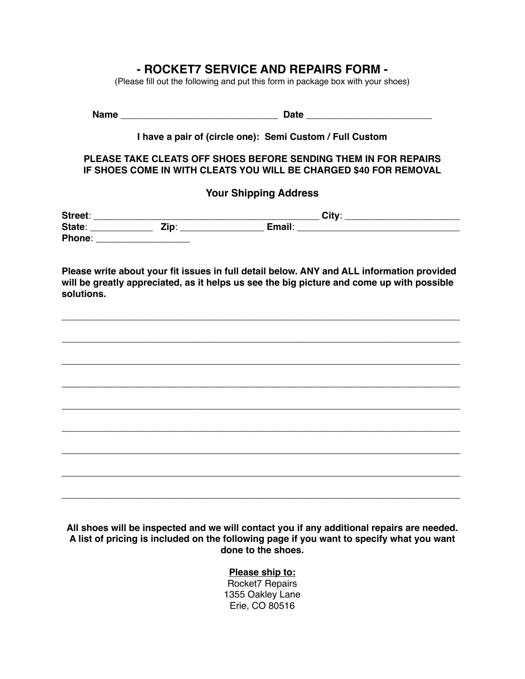# **- ROCKET7 SERVICE AND REPAIRS FORM -**

(Please fill out the following and put this form in package box with your shoes)

**Name** \_\_\_\_\_\_\_\_\_\_\_\_\_\_\_\_\_\_\_\_\_\_\_\_\_\_\_\_\_\_ **Date** \_\_\_\_\_\_\_\_\_\_\_\_\_\_\_\_\_\_\_\_\_\_\_\_

### **I have a pair of (circle one): Semi Custom / Full Custom**

#### **PLEASE TAKE CLEATS OFF SHOES BEFORE SENDING THEM IN FOR REPAIRS IF SHOES COME IN WITH CLEATS YOU WILL BE CHARGED \$40 FOR REMOVAL**

## **Your Shipping Address**

| Street: |                     |        | <b>City</b> |
|---------|---------------------|--------|-------------|
| State:  | <b>Time</b><br>- 14 | Email: |             |
| Phone:  |                     |        |             |

**Please write about your fit issues in full detail below. ANY and ALL information provided will be greatly appreciated, as it helps us see the big picture and come up with possible solutions.**



**All shoes will be inspected and we will contact you if any additional repairs are needed. A list of pricing is included on the following page if you want to specify what you want done to the shoes.** 

#### **Please ship to:**

Rocket7 Repairs 1355 Oakley Lane Erie, CO 80516